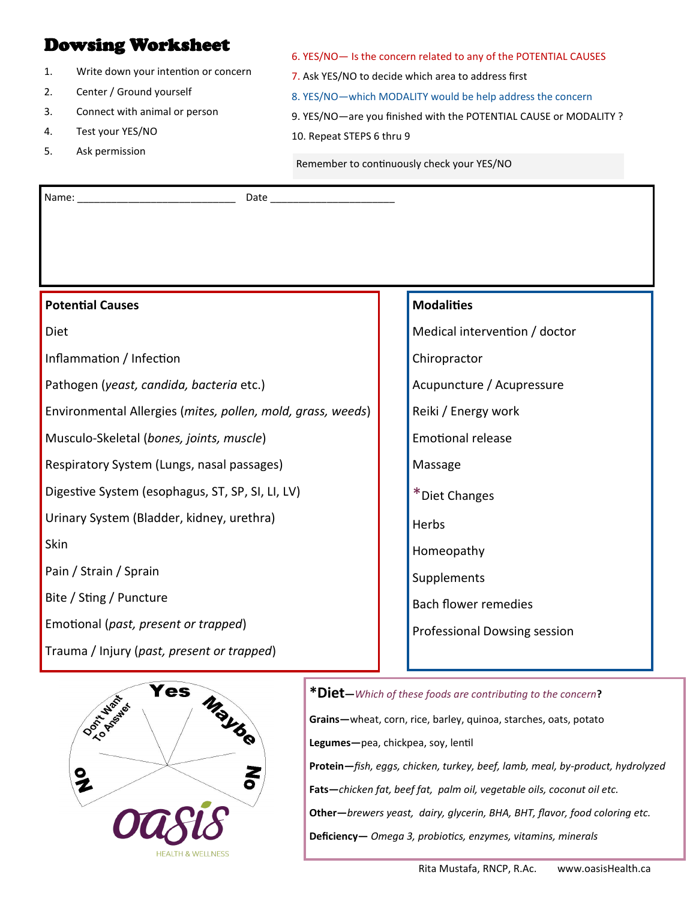# Dowsing Worksheet

- 1. Write down your intention or concern
- 2. Center / Ground yourself
- 3. Connect with animal or person
- 4. Test your YES/NO
- 5. Ask permission

7. Ask YES/NO to decide which area to address first 8. YES/NO—which MODALITY would be help address the concern

6. YES/NO— Is the concern related to any of the POTENTIAL CAUSES

9. YES/NO—are you finished with the POTENTIAL CAUSE or MODALITY ? 10. Repeat STEPS 6 thru 9

Remember to continuously check your YES/NO

Name: \_\_\_\_\_\_\_\_\_\_\_\_\_\_\_\_\_\_\_\_\_\_\_\_\_\_\_\_ Date \_\_\_\_\_\_\_\_\_\_\_\_\_\_\_\_\_\_\_\_\_\_

| <b>Potential Causes</b>                                     | <b>Modalities</b>             |
|-------------------------------------------------------------|-------------------------------|
| Diet                                                        | Medical intervention / doctor |
| Inflammation / Infection                                    | Chiropractor                  |
| Pathogen (yeast, candida, bacteria etc.)                    | Acupuncture / Acupressure     |
| Environmental Allergies (mites, pollen, mold, grass, weeds) | Reiki / Energy work           |
| Musculo-Skeletal (bones, joints, muscle)                    | <b>Emotional release</b>      |
| Respiratory System (Lungs, nasal passages)                  | Massage                       |
| Digestive System (esophagus, ST, SP, SI, LI, LV)            | *Diet Changes                 |
| Urinary System (Bladder, kidney, urethra)                   | Herbs                         |
| Skin                                                        | Homeopathy                    |
| Pain / Strain / Sprain                                      | Supplements                   |
| Bite / Sting / Puncture                                     | <b>Bach flower remedies</b>   |
| Emotional (past, present or trapped)                        | Professional Dowsing session  |
| Trauma / Injury (past, present or trapped)                  |                               |



**\*Diet—***Which of these foods are contributing to the concern***? Grains—**wheat, corn, rice, barley, quinoa, starches, oats, potato **Legumes—**pea, chickpea, soy, lentil **Protein—***fish, eggs, chicken, turkey, beef, lamb, meal, by-product, hydrolyzed* **Fats—***chicken fat, beef fat, palm oil, vegetable oils, coconut oil etc.* **Other—***brewers yeast, dairy, glycerin, BHA, BHT, flavor, food coloring etc.* **Deficiency—** *Omega 3, probiotics, enzymes, vitamins, minerals*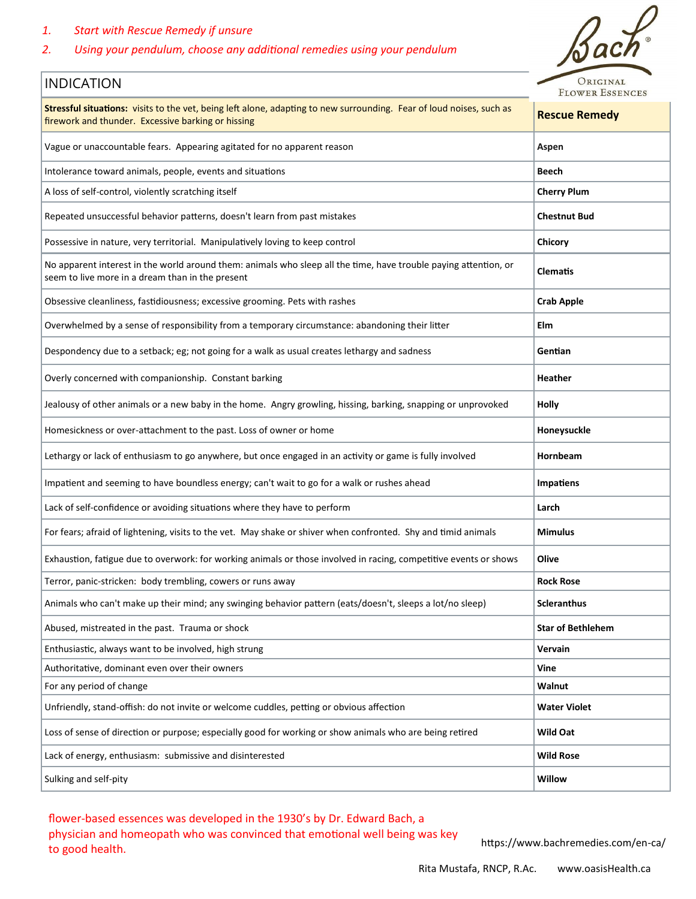# *1. Start with Rescue Remedy if unsure*

# *2. Using your pendulum, choose any additional remedies using your pendulum*



| Stressful situations: visits to the vet, being left alone, adapting to new surrounding. Fear of loud noises, such as<br>firework and thunder. Excessive barking or hissing | <b>Rescue Remedy</b>     |
|----------------------------------------------------------------------------------------------------------------------------------------------------------------------------|--------------------------|
| Vague or unaccountable fears. Appearing agitated for no apparent reason                                                                                                    | Aspen                    |
| Intolerance toward animals, people, events and situations                                                                                                                  | Beech                    |
| A loss of self-control, violently scratching itself                                                                                                                        | <b>Cherry Plum</b>       |
| Repeated unsuccessful behavior patterns, doesn't learn from past mistakes                                                                                                  | <b>Chestnut Bud</b>      |
| Possessive in nature, very territorial. Manipulatively loving to keep control                                                                                              | <b>Chicory</b>           |
| No apparent interest in the world around them: animals who sleep all the time, have trouble paying attention, or<br>seem to live more in a dream than in the present       | <b>Clematis</b>          |
| Obsessive cleanliness, fastidiousness; excessive grooming. Pets with rashes                                                                                                | <b>Crab Apple</b>        |
| Overwhelmed by a sense of responsibility from a temporary circumstance: abandoning their litter                                                                            | Elm                      |
| Despondency due to a setback; eg; not going for a walk as usual creates lethargy and sadness                                                                               | Gentian                  |
| Overly concerned with companionship. Constant barking                                                                                                                      | <b>Heather</b>           |
| Jealousy of other animals or a new baby in the home. Angry growling, hissing, barking, snapping or unprovoked                                                              | Holly                    |
| Homesickness or over-attachment to the past. Loss of owner or home                                                                                                         | Honeysuckle              |
| Lethargy or lack of enthusiasm to go anywhere, but once engaged in an activity or game is fully involved                                                                   | Hornbeam                 |
| Impatient and seeming to have boundless energy; can't wait to go for a walk or rushes ahead                                                                                | <b>Impatiens</b>         |
| Lack of self-confidence or avoiding situations where they have to perform                                                                                                  | Larch                    |
| For fears; afraid of lightening, visits to the vet. May shake or shiver when confronted. Shy and timid animals                                                             | <b>Mimulus</b>           |
| Exhaustion, fatigue due to overwork: for working animals or those involved in racing, competitive events or shows                                                          | Olive                    |
| Terror, panic-stricken: body trembling, cowers or runs away                                                                                                                | <b>Rock Rose</b>         |
| Animals who can't make up their mind; any swinging behavior pattern (eats/doesn't, sleeps a lot/no sleep)                                                                  | <b>Scleranthus</b>       |
| Abused, mistreated in the past. Trauma or shock                                                                                                                            | <b>Star of Bethlehem</b> |
| Enthusiastic, always want to be involved, high strung                                                                                                                      | Vervain                  |
| Authoritative, dominant even over their owners                                                                                                                             | Vine                     |
| For any period of change                                                                                                                                                   | Walnut                   |
| Unfriendly, stand-offish: do not invite or welcome cuddles, petting or obvious affection                                                                                   | <b>Water Violet</b>      |
| Loss of sense of direction or purpose; especially good for working or show animals who are being retired                                                                   | Wild Oat                 |
| Lack of energy, enthusiasm: submissive and disinterested                                                                                                                   | <b>Wild Rose</b>         |
| Sulking and self-pity                                                                                                                                                      | Willow                   |

flower-based essences was developed in the 1930's by Dr. Edward Bach, a physician and homeopath who was convinced that emotional well being was key priysician and nonieopath who was convinced that emotional wen being was key https://www.bachremedies.com/en-ca/<br>to good health.